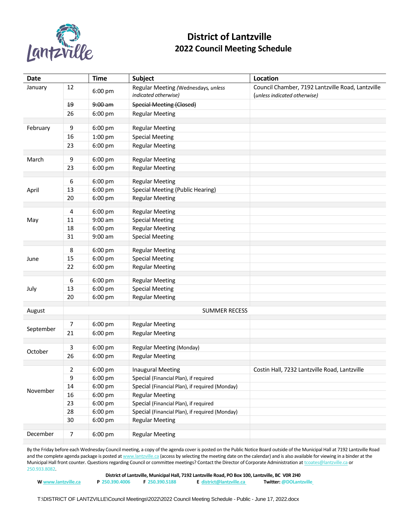

## **District of Lantzville 2022 Council Meeting Schedule**

| Date      |                | <b>Time</b> | <b>Subject</b>                                              | Location                                                                          |
|-----------|----------------|-------------|-------------------------------------------------------------|-----------------------------------------------------------------------------------|
| January   | 12             | 6:00 pm     | Regular Meeting (Wednesdays, unless<br>indicated otherwise) | Council Chamber, 7192 Lantzville Road, Lantzville<br>(unless indicated otherwise) |
|           | 19             | 9:00 am     | <b>Special Meeting (Closed)</b>                             |                                                                                   |
|           | 26             | 6:00 pm     | <b>Regular Meeting</b>                                      |                                                                                   |
| February  | 9              | 6:00 pm     | <b>Regular Meeting</b>                                      |                                                                                   |
|           | 16             | 1:00 pm     | <b>Special Meeting</b>                                      |                                                                                   |
|           | 23             | 6:00 pm     | <b>Regular Meeting</b>                                      |                                                                                   |
|           |                |             |                                                             |                                                                                   |
| March     | 9              | 6:00 pm     | <b>Regular Meeting</b>                                      |                                                                                   |
|           | 23             | 6:00 pm     | <b>Regular Meeting</b>                                      |                                                                                   |
|           | 6              | 6:00 pm     | <b>Regular Meeting</b>                                      |                                                                                   |
| April     | 13             | 6:00 pm     | Special Meeting (Public Hearing)                            |                                                                                   |
|           | 20             | 6:00 pm     | <b>Regular Meeting</b>                                      |                                                                                   |
|           |                |             |                                                             |                                                                                   |
|           | 4              | 6:00 pm     | <b>Regular Meeting</b>                                      |                                                                                   |
| May       | 11             | $9:00$ am   | <b>Special Meeting</b>                                      |                                                                                   |
|           | 18             | 6:00 pm     | <b>Regular Meeting</b>                                      |                                                                                   |
|           | 31             | $9:00$ am   | <b>Special Meeting</b>                                      |                                                                                   |
|           | 8              | 6:00 pm     | <b>Regular Meeting</b>                                      |                                                                                   |
| June      | 15             | 6:00 pm     | <b>Special Meeting</b>                                      |                                                                                   |
|           | 22             | 6:00 pm     | <b>Regular Meeting</b>                                      |                                                                                   |
|           | 6              | 6:00 pm     | <b>Regular Meeting</b>                                      |                                                                                   |
| July      | 13             | 6:00 pm     | <b>Special Meeting</b>                                      |                                                                                   |
|           | 20             | 6:00 pm     | <b>Regular Meeting</b>                                      |                                                                                   |
|           |                |             |                                                             |                                                                                   |
| August    |                |             | <b>SUMMER RECESS</b>                                        |                                                                                   |
|           | 7              | 6:00 pm     | <b>Regular Meeting</b>                                      |                                                                                   |
| September | 21             | 6:00 pm     | <b>Regular Meeting</b>                                      |                                                                                   |
|           |                |             |                                                             |                                                                                   |
| October   | 3              | 6:00 pm     | Regular Meeting (Monday)                                    |                                                                                   |
|           | 26             | 6:00 pm     | <b>Regular Meeting</b>                                      |                                                                                   |
|           | $\overline{2}$ | 6:00 pm     | <b>Inaugural Meeting</b>                                    | Costin Hall, 7232 Lantzville Road, Lantzville                                     |
|           | 9              | 6:00 pm     | Special (Financial Plan), if required                       |                                                                                   |
|           | $14\,$         | 6:00 pm     | Special (Financial Plan), if required (Monday)              |                                                                                   |
| November  | 16             | 6:00 pm     | <b>Regular Meeting</b>                                      |                                                                                   |
|           | 23             | 6:00 pm     | Special (Financial Plan), if required                       |                                                                                   |
|           | 28             | 6:00 pm     | Special (Financial Plan), if required (Monday)              |                                                                                   |
|           | 30             | 6:00 pm     | <b>Regular Meeting</b>                                      |                                                                                   |
| December  | $\overline{7}$ | 6:00 pm     | <b>Regular Meeting</b>                                      |                                                                                   |
|           |                |             |                                                             |                                                                                   |

By the Friday before each Wednesday Council meeting, a copy of the agenda cover is posted on the Public Notice Board outside of the Municipal Hall at 7192 Lantzville Road and the complete agenda package is posted a[t www.lantzville.ca](http://www.lantzville.ca/) (access by selecting the meeting date on the calendar) and is also available for viewing in a binder at the Municipal Hall front counter. Questions regarding Council or committee meetings? Contact the Director of Corporate Administration a[t tcoates@lantzville.ca](mailto:tcoates@lantzville.ca) or 250.933.8082.

|                     |                |                | District of Lantzville, Municipal Hall, 7192 Lantzville Road, PO Box 100, Lantzville, BC VOR 2H0 |                               |
|---------------------|----------------|----------------|--------------------------------------------------------------------------------------------------|-------------------------------|
| W www.lantzville.ca | P 250.390.4006 | F 250.390.5188 | E district@lantzville.ca                                                                         | <b>Twitter: @DOLantzville</b> |